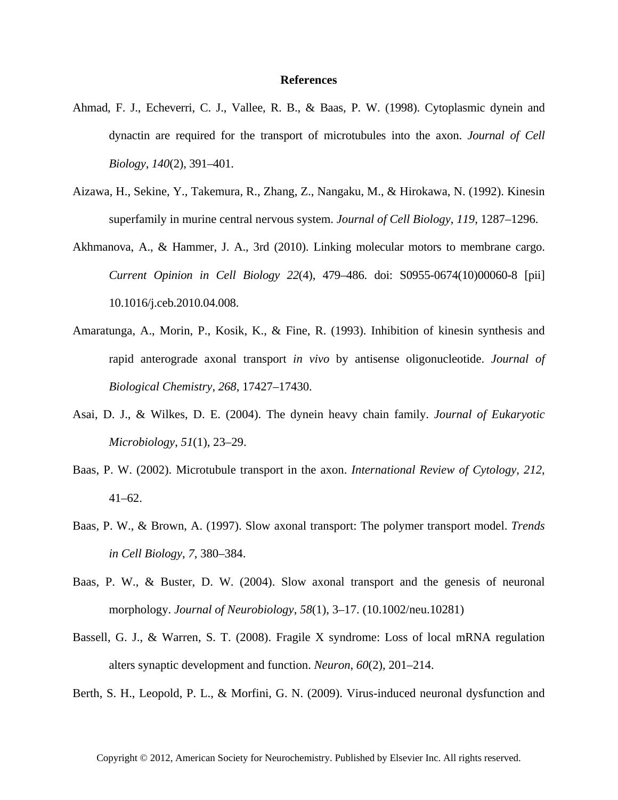## **References**

- Ahmad, F. J., Echeverri, C. J., Vallee, R. B., & Baas, P. W. (1998). Cytoplasmic dynein and dynactin are required for the transport of microtubules into the axon. *Journal of Cell Biology*, *140*(2), 391–401.
- Aizawa, H., Sekine, Y., Takemura, R., Zhang, Z., Nangaku, M., & Hirokawa, N. (1992). Kinesin superfamily in murine central nervous system. *Journal of Cell Biology*, *119*, 1287–1296.
- Akhmanova, A., & Hammer, J. A., 3rd (2010). Linking molecular motors to membrane cargo. *Current Opinion in Cell Biology 22*(4), 479–486. doi: S0955-0674(10)00060-8 [pii] 10.1016/j.ceb.2010.04.008.
- Amaratunga, A., Morin, P., Kosik, K., & Fine, R. (1993). Inhibition of kinesin synthesis and rapid anterograde axonal transport *in vivo* by antisense oligonucleotide. *Journal of Biological Chemistry*, *268*, 17427–17430.
- Asai, D. J., & Wilkes, D. E. (2004). The dynein heavy chain family. *Journal of Eukaryotic Microbiology*, *51*(1), 23–29.
- Baas, P. W. (2002). Microtubule transport in the axon. *International Review of Cytology*, *212*, 41–62.
- Baas, P. W., & Brown, A. (1997). Slow axonal transport: The polymer transport model. *Trends in Cell Biology*, *7*, 380–384.
- Baas, P. W., & Buster, D. W. (2004). Slow axonal transport and the genesis of neuronal morphology. *Journal of Neurobiology*, *58*(1), 3–17. (10.1002/neu.10281)
- Bassell, G. J., & Warren, S. T. (2008). Fragile X syndrome: Loss of local mRNA regulation alters synaptic development and function. *Neuron*, *60*(2), 201–214.

Berth, S. H., Leopold, P. L., & Morfini, G. N. (2009). Virus-induced neuronal dysfunction and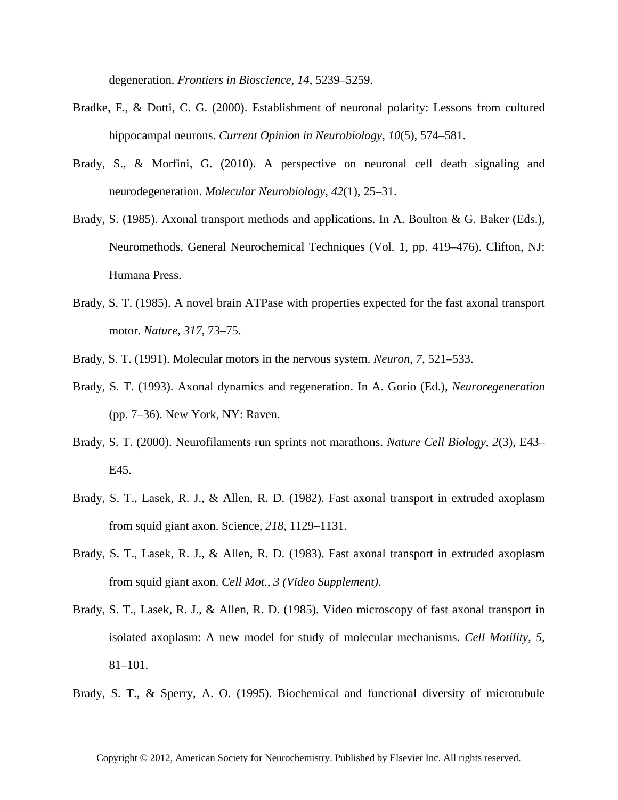degeneration. *Frontiers in Bioscience*, *14*, 5239–5259.

- Bradke, F., & Dotti, C. G. (2000). Establishment of neuronal polarity: Lessons from cultured hippocampal neurons. *Current Opinion in Neurobiology*, *10*(5), 574–581.
- Brady, S., & Morfini, G. (2010). A perspective on neuronal cell death signaling and neurodegeneration. *Molecular Neurobiology*, *42*(1), 25–31.
- Brady, S. (1985). Axonal transport methods and applications. In A. Boulton & G. Baker (Eds.), Neuromethods, General Neurochemical Techniques (Vol. 1, pp. 419–476). Clifton, NJ: Humana Press.
- Brady, S. T. (1985). A novel brain ATPase with properties expected for the fast axonal transport motor. *Nature*, *317*, 73–75.
- Brady, S. T. (1991). Molecular motors in the nervous system. *Neuron*, *7*, 521–533.
- Brady, S. T. (1993). Axonal dynamics and regeneration. In A. Gorio (Ed.), *Neuroregeneration* (pp. 7–36). New York, NY: Raven.
- Brady, S. T. (2000). Neurofilaments run sprints not marathons. *Nature Cell Biology*, *2*(3), E43– E45.
- Brady, S. T., Lasek, R. J., & Allen, R. D. (1982). Fast axonal transport in extruded axoplasm from squid giant axon. Science, *218*, 1129–1131.
- Brady, S. T., Lasek, R. J., & Allen, R. D. (1983). Fast axonal transport in extruded axoplasm from squid giant axon. *Cell Mot., 3 (Video Supplement).*
- Brady, S. T., Lasek, R. J., & Allen, R. D. (1985). Video microscopy of fast axonal transport in isolated axoplasm: A new model for study of molecular mechanisms. *Cell Motility*, *5*, 81–101.
- Brady, S. T., & Sperry, A. O. (1995). Biochemical and functional diversity of microtubule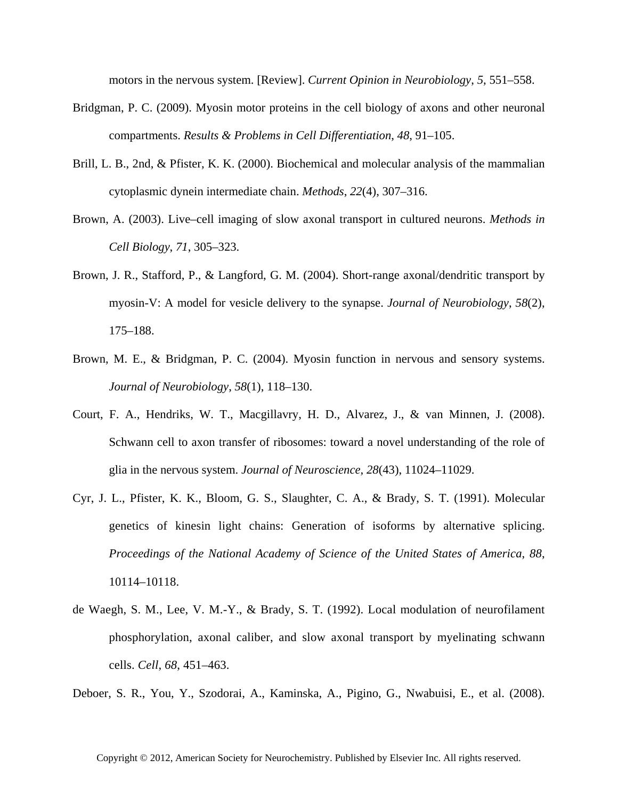motors in the nervous system. [Review]. *Current Opinion in Neurobiology*, *5*, 551–558.

- Bridgman, P. C. (2009). Myosin motor proteins in the cell biology of axons and other neuronal compartments. *Results & Problems in Cell Differentiation*, *48*, 91–105.
- Brill, L. B., 2nd, & Pfister, K. K. (2000). Biochemical and molecular analysis of the mammalian cytoplasmic dynein intermediate chain. *Methods*, *22*(4), 307–316.
- Brown, A. (2003). Live–cell imaging of slow axonal transport in cultured neurons. *Methods in Cell Biology*, *71*, 305–323.
- Brown, J. R., Stafford, P., & Langford, G. M. (2004). Short-range axonal/dendritic transport by myosin-V: A model for vesicle delivery to the synapse. *Journal of Neurobiology*, *58*(2), 175–188.
- Brown, M. E., & Bridgman, P. C. (2004). Myosin function in nervous and sensory systems. *Journal of Neurobiology*, *58*(1), 118–130.
- Court, F. A., Hendriks, W. T., Macgillavry, H. D., Alvarez, J., & van Minnen, J. (2008). Schwann cell to axon transfer of ribosomes: toward a novel understanding of the role of glia in the nervous system. *Journal of Neuroscience*, *28*(43), 11024–11029.
- Cyr, J. L., Pfister, K. K., Bloom, G. S., Slaughter, C. A., & Brady, S. T. (1991). Molecular genetics of kinesin light chains: Generation of isoforms by alternative splicing. *Proceedings of the National Academy of Science of the United States of America*, *88*, 10114–10118.
- de Waegh, S. M., Lee, V. M.-Y., & Brady, S. T. (1992). Local modulation of neurofilament phosphorylation, axonal caliber, and slow axonal transport by myelinating schwann cells. *Cell*, *68*, 451–463.

Deboer, S. R., You, Y., Szodorai, A., Kaminska, A., Pigino, G., Nwabuisi, E., et al. (2008).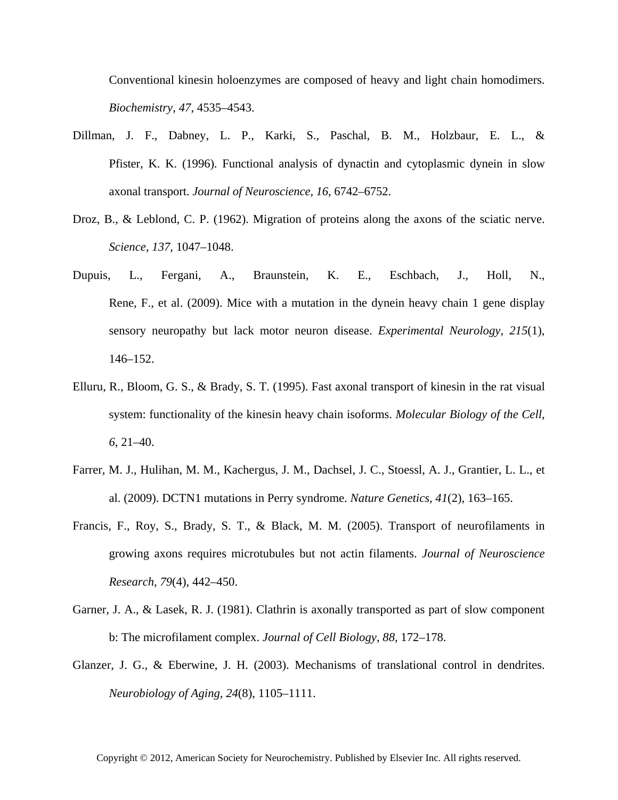Conventional kinesin holoenzymes are composed of heavy and light chain homodimers. *Biochemistry*, *47*, 4535–4543.

- Dillman, J. F., Dabney, L. P., Karki, S., Paschal, B. M., Holzbaur, E. L., & Pfister, K. K. (1996). Functional analysis of dynactin and cytoplasmic dynein in slow axonal transport. *Journal of Neuroscience*, *16*, 6742–6752.
- Droz, B., & Leblond, C. P. (1962). Migration of proteins along the axons of the sciatic nerve. *Science*, *137*, 1047–1048.
- Dupuis, L., Fergani, A., Braunstein, K. E., Eschbach, J., Holl, N., Rene, F., et al. (2009). Mice with a mutation in the dynein heavy chain 1 gene display sensory neuropathy but lack motor neuron disease. *Experimental Neurology*, *215*(1), 146–152.
- Elluru, R., Bloom, G. S., & Brady, S. T. (1995). Fast axonal transport of kinesin in the rat visual system: functionality of the kinesin heavy chain isoforms. *Molecular Biology of the Cell*, *6*, 21–40.
- Farrer, M. J., Hulihan, M. M., Kachergus, J. M., Dachsel, J. C., Stoessl, A. J., Grantier, L. L., et al. (2009). DCTN1 mutations in Perry syndrome. *Nature Genetics*, *41*(2), 163–165.
- Francis, F., Roy, S., Brady, S. T., & Black, M. M. (2005). Transport of neurofilaments in growing axons requires microtubules but not actin filaments. *Journal of Neuroscience Research*, *79*(4), 442–450.
- Garner, J. A., & Lasek, R. J. (1981). Clathrin is axonally transported as part of slow component b: The microfilament complex. *Journal of Cell Biology*, *88*, 172–178.
- Glanzer, J. G., & Eberwine, J. H. (2003). Mechanisms of translational control in dendrites. *Neurobiology of Aging*, *24*(8), 1105–1111.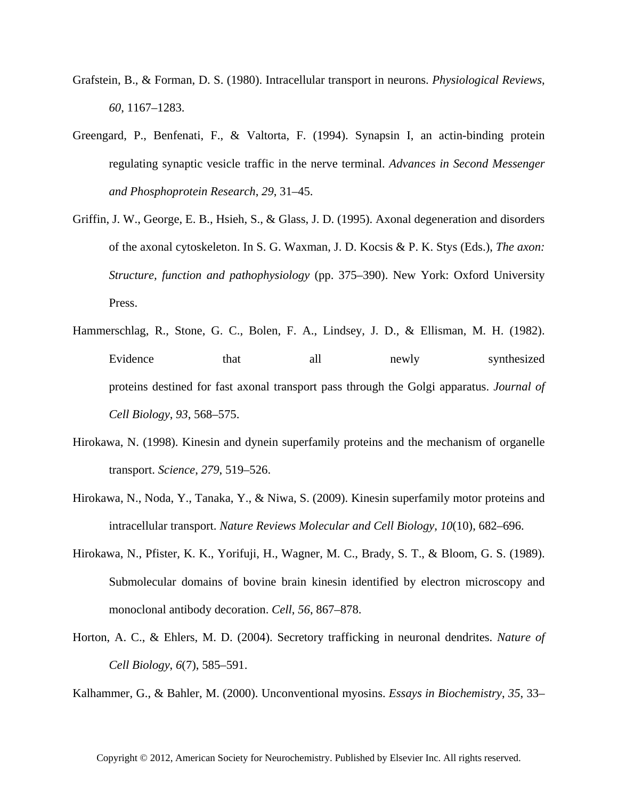- Grafstein, B., & Forman, D. S. (1980). Intracellular transport in neurons. *Physiological Reviews*, *60*, 1167–1283.
- Greengard, P., Benfenati, F., & Valtorta, F. (1994). Synapsin I, an actin-binding protein regulating synaptic vesicle traffic in the nerve terminal. *Advances in Second Messenger and Phosphoprotein Research*, *29*, 31–45.
- Griffin, J. W., George, E. B., Hsieh, S., & Glass, J. D. (1995). Axonal degeneration and disorders of the axonal cytoskeleton. In S. G. Waxman, J. D. Kocsis & P. K. Stys (Eds.), *The axon: Structure, function and pathophysiology* (pp. 375–390). New York: Oxford University Press.
- Hammerschlag, R., Stone, G. C., Bolen, F. A., Lindsey, J. D., & Ellisman, M. H. (1982). Evidence that all newly synthesized proteins destined for fast axonal transport pass through the Golgi apparatus. *Journal of Cell Biology*, *93*, 568–575.
- Hirokawa, N. (1998). Kinesin and dynein superfamily proteins and the mechanism of organelle transport. *Science*, *279*, 519–526.
- Hirokawa, N., Noda, Y., Tanaka, Y., & Niwa, S. (2009). Kinesin superfamily motor proteins and intracellular transport. *Nature Reviews Molecular and Cell Biology*, *10*(10), 682–696.
- Hirokawa, N., Pfister, K. K., Yorifuji, H., Wagner, M. C., Brady, S. T., & Bloom, G. S. (1989). Submolecular domains of bovine brain kinesin identified by electron microscopy and monoclonal antibody decoration. *Cell*, *56*, 867–878.
- Horton, A. C., & Ehlers, M. D. (2004). Secretory trafficking in neuronal dendrites. *Nature of Cell Biology*, *6*(7), 585–591.

Kalhammer, G., & Bahler, M. (2000). Unconventional myosins. *Essays in Biochemistry*, *35*, 33–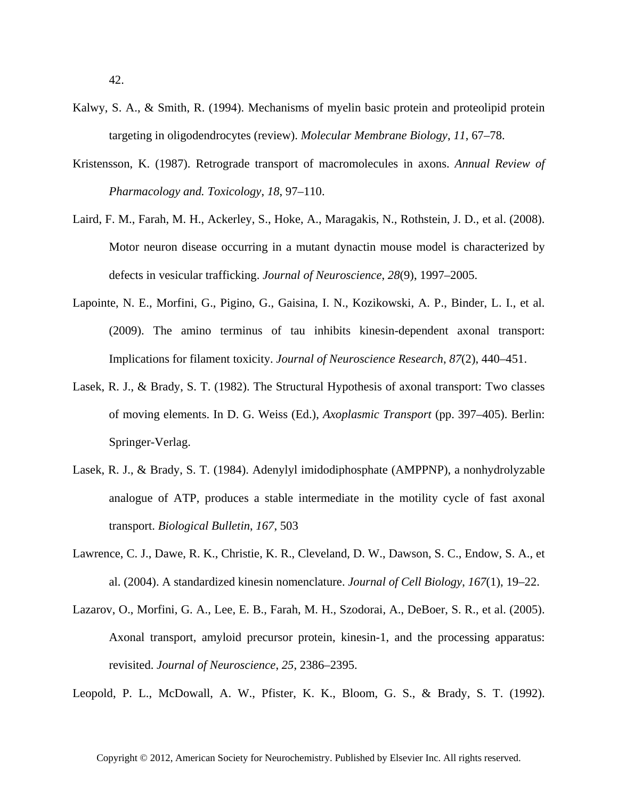- Kalwy, S. A., & Smith, R. (1994). Mechanisms of myelin basic protein and proteolipid protein targeting in oligodendrocytes (review). *Molecular Membrane Biology*, *11*, 67–78.
- Kristensson, K. (1987). Retrograde transport of macromolecules in axons. *Annual Review of Pharmacology and. Toxicology*, *18*, 97–110.
- Laird, F. M., Farah, M. H., Ackerley, S., Hoke, A., Maragakis, N., Rothstein, J. D., et al. (2008). Motor neuron disease occurring in a mutant dynactin mouse model is characterized by defects in vesicular trafficking. *Journal of Neuroscience*, *28*(9), 1997–2005.
- Lapointe, N. E., Morfini, G., Pigino, G., Gaisina, I. N., Kozikowski, A. P., Binder, L. I., et al. (2009). The amino terminus of tau inhibits kinesin-dependent axonal transport: Implications for filament toxicity. *Journal of Neuroscience Research*, *87*(2), 440–451.
- Lasek, R. J., & Brady, S. T. (1982). The Structural Hypothesis of axonal transport: Two classes of moving elements. In D. G. Weiss (Ed.), *Axoplasmic Transport* (pp. 397–405). Berlin: Springer-Verlag.
- Lasek, R. J., & Brady, S. T. (1984). Adenylyl imidodiphosphate (AMPPNP), a nonhydrolyzable analogue of ATP, produces a stable intermediate in the motility cycle of fast axonal transport. *Biological Bulletin*, *167*, 503
- Lawrence, C. J., Dawe, R. K., Christie, K. R., Cleveland, D. W., Dawson, S. C., Endow, S. A., et al. (2004). A standardized kinesin nomenclature. *Journal of Cell Biology*, *167*(1), 19–22.
- Lazarov, O., Morfini, G. A., Lee, E. B., Farah, M. H., Szodorai, A., DeBoer, S. R., et al. (2005). Axonal transport, amyloid precursor protein, kinesin-1, and the processing apparatus: revisited. *Journal of Neuroscience*, *25*, 2386–2395.

Leopold, P. L., McDowall, A. W., Pfister, K. K., Bloom, G. S., & Brady, S. T. (1992).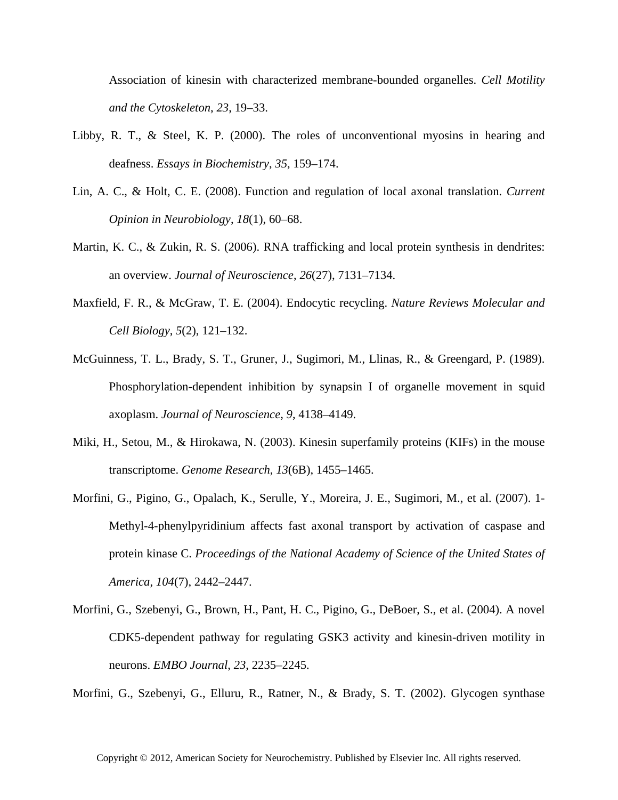Association of kinesin with characterized membrane-bounded organelles. *Cell Motility and the Cytoskeleton*, *23*, 19–33.

- Libby, R. T., & Steel, K. P. (2000). The roles of unconventional myosins in hearing and deafness. *Essays in Biochemistry*, *35*, 159–174.
- Lin, A. C., & Holt, C. E. (2008). Function and regulation of local axonal translation. *Current Opinion in Neurobiology*, *18*(1), 60–68.
- Martin, K. C., & Zukin, R. S. (2006). RNA trafficking and local protein synthesis in dendrites: an overview. *Journal of Neuroscience*, *26*(27), 7131–7134.
- Maxfield, F. R., & McGraw, T. E. (2004). Endocytic recycling. *Nature Reviews Molecular and Cell Biology*, *5*(2), 121–132.
- McGuinness, T. L., Brady, S. T., Gruner, J., Sugimori, M., Llinas, R., & Greengard, P. (1989). Phosphorylation-dependent inhibition by synapsin I of organelle movement in squid axoplasm. *Journal of Neuroscience*, *9*, 4138–4149.
- Miki, H., Setou, M., & Hirokawa, N. (2003). Kinesin superfamily proteins (KIFs) in the mouse transcriptome. *Genome Research*, *13*(6B), 1455–1465.
- Morfini, G., Pigino, G., Opalach, K., Serulle, Y., Moreira, J. E., Sugimori, M., et al. (2007). 1- Methyl-4-phenylpyridinium affects fast axonal transport by activation of caspase and protein kinase C. *Proceedings of the National Academy of Science of the United States of America*, *104*(7), 2442–2447.
- Morfini, G., Szebenyi, G., Brown, H., Pant, H. C., Pigino, G., DeBoer, S., et al. (2004). A novel CDK5-dependent pathway for regulating GSK3 activity and kinesin-driven motility in neurons. *EMBO Journal*, *23*, 2235–2245.

Morfini, G., Szebenyi, G., Elluru, R., Ratner, N., & Brady, S. T. (2002). Glycogen synthase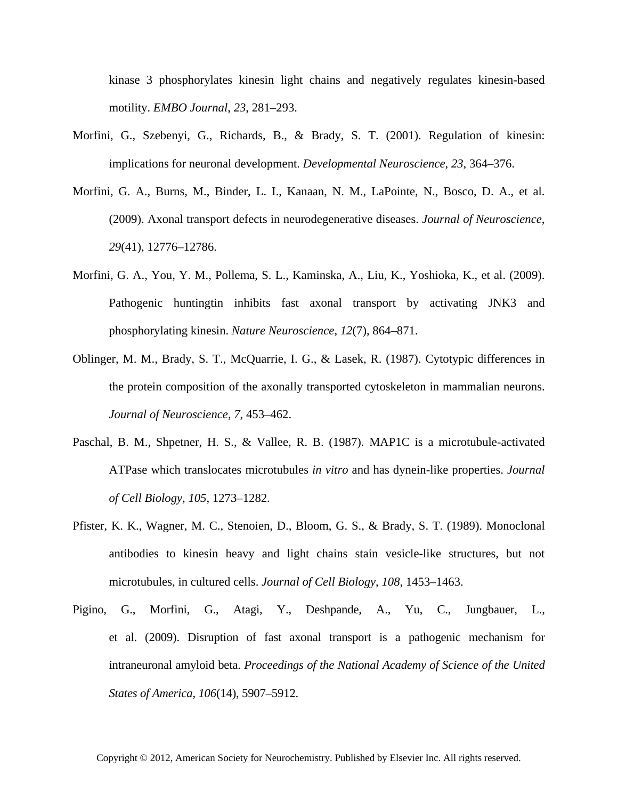kinase 3 phosphorylates kinesin light chains and negatively regulates kinesin-based motility. *EMBO Journal*, *23*, 281–293.

- Morfini, G., Szebenyi, G., Richards, B., & Brady, S. T. (2001). Regulation of kinesin: implications for neuronal development. *Developmental Neuroscience*, *23*, 364–376.
- Morfini, G. A., Burns, M., Binder, L. I., Kanaan, N. M., LaPointe, N., Bosco, D. A., et al. (2009). Axonal transport defects in neurodegenerative diseases. *Journal of Neuroscience*, *29*(41), 12776–12786.
- Morfini, G. A., You, Y. M., Pollema, S. L., Kaminska, A., Liu, K., Yoshioka, K., et al. (2009). Pathogenic huntingtin inhibits fast axonal transport by activating JNK3 and phosphorylating kinesin. *Nature Neuroscience*, *12*(7), 864–871.
- Oblinger, M. M., Brady, S. T., McQuarrie, I. G., & Lasek, R. (1987). Cytotypic differences in the protein composition of the axonally transported cytoskeleton in mammalian neurons. *Journal of Neuroscience*, *7*, 453–462.
- Paschal, B. M., Shpetner, H. S., & Vallee, R. B. (1987). MAP1C is a microtubule-activated ATPase which translocates microtubules *in vitro* and has dynein-like properties. *Journal of Cell Biology*, *105*, 1273–1282.
- Pfister, K. K., Wagner, M. C., Stenoien, D., Bloom, G. S., & Brady, S. T. (1989). Monoclonal antibodies to kinesin heavy and light chains stain vesicle-like structures, but not microtubules, in cultured cells. *Journal of Cell Biology*, *108*, 1453–1463.
- Pigino, G., Morfini, G., Atagi, Y., Deshpande, A., Yu, C., Jungbauer, L., et al. (2009). Disruption of fast axonal transport is a pathogenic mechanism for intraneuronal amyloid beta. *Proceedings of the National Academy of Science of the United States of America*, *106*(14), 5907–5912.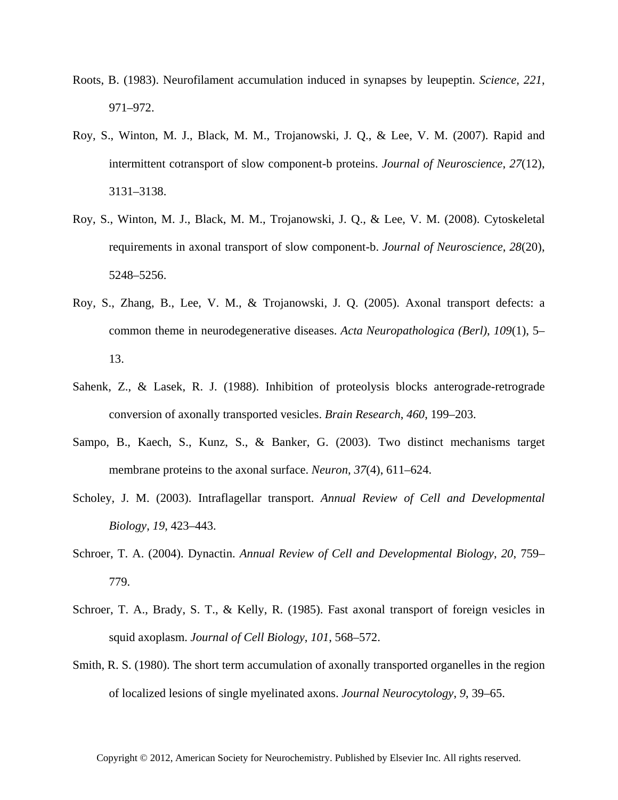- Roots, B. (1983). Neurofilament accumulation induced in synapses by leupeptin. *Science*, *221*, 971–972.
- Roy, S., Winton, M. J., Black, M. M., Trojanowski, J. Q., & Lee, V. M. (2007). Rapid and intermittent cotransport of slow component-b proteins. *Journal of Neuroscience*, *27*(12), 3131–3138.
- Roy, S., Winton, M. J., Black, M. M., Trojanowski, J. Q., & Lee, V. M. (2008). Cytoskeletal requirements in axonal transport of slow component-b. *Journal of Neuroscience*, *28*(20), 5248–5256.
- Roy, S., Zhang, B., Lee, V. M., & Trojanowski, J. Q. (2005). Axonal transport defects: a common theme in neurodegenerative diseases. *Acta Neuropathologica (Berl)*, *109*(1), 5– 13.
- Sahenk, Z., & Lasek, R. J. (1988). Inhibition of proteolysis blocks anterograde-retrograde conversion of axonally transported vesicles. *Brain Research*, *460*, 199–203.
- Sampo, B., Kaech, S., Kunz, S., & Banker, G. (2003). Two distinct mechanisms target membrane proteins to the axonal surface. *Neuron*, *37*(4), 611–624.
- Scholey, J. M. (2003). Intraflagellar transport. *Annual Review of Cell and Developmental Biology*, *19*, 423–443.
- Schroer, T. A. (2004). Dynactin. *Annual Review of Cell and Developmental Biology*, *20*, 759– 779.
- Schroer, T. A., Brady, S. T., & Kelly, R. (1985). Fast axonal transport of foreign vesicles in squid axoplasm. *Journal of Cell Biology*, *101*, 568–572.
- Smith, R. S. (1980). The short term accumulation of axonally transported organelles in the region of localized lesions of single myelinated axons. *Journal Neurocytology*, *9*, 39–65.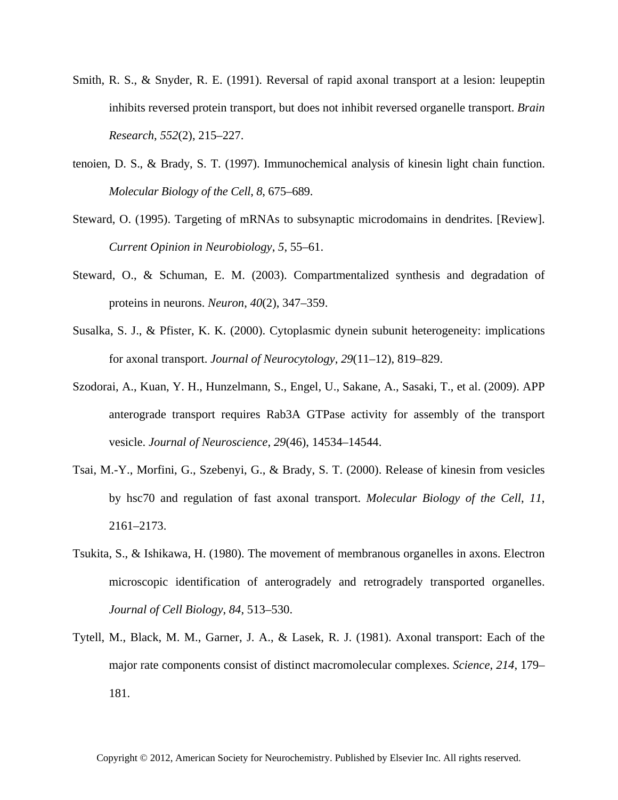- Smith, R. S., & Snyder, R. E. (1991). Reversal of rapid axonal transport at a lesion: leupeptin inhibits reversed protein transport, but does not inhibit reversed organelle transport. *Brain Research*, *552*(2), 215–227.
- tenoien, D. S., & Brady, S. T. (1997). Immunochemical analysis of kinesin light chain function. *Molecular Biology of the Cell*, *8*, 675–689.
- Steward, O. (1995). Targeting of mRNAs to subsynaptic microdomains in dendrites. [Review]. *Current Opinion in Neurobiology*, *5*, 55–61.
- Steward, O., & Schuman, E. M. (2003). Compartmentalized synthesis and degradation of proteins in neurons. *Neuron*, *40*(2), 347–359.
- Susalka, S. J., & Pfister, K. K. (2000). Cytoplasmic dynein subunit heterogeneity: implications for axonal transport. *Journal of Neurocytology*, *29*(11–12), 819–829.
- Szodorai, A., Kuan, Y. H., Hunzelmann, S., Engel, U., Sakane, A., Sasaki, T., et al. (2009). APP anterograde transport requires Rab3A GTPase activity for assembly of the transport vesicle. *Journal of Neuroscience*, *29*(46), 14534–14544.
- Tsai, M.-Y., Morfini, G., Szebenyi, G., & Brady, S. T. (2000). Release of kinesin from vesicles by hsc70 and regulation of fast axonal transport. *Molecular Biology of the Cell*, *11*, 2161–2173.
- Tsukita, S., & Ishikawa, H. (1980). The movement of membranous organelles in axons. Electron microscopic identification of anterogradely and retrogradely transported organelles. *Journal of Cell Biology*, *84*, 513–530.
- Tytell, M., Black, M. M., Garner, J. A., & Lasek, R. J. (1981). Axonal transport: Each of the major rate components consist of distinct macromolecular complexes. *Science*, *214*, 179– 181.